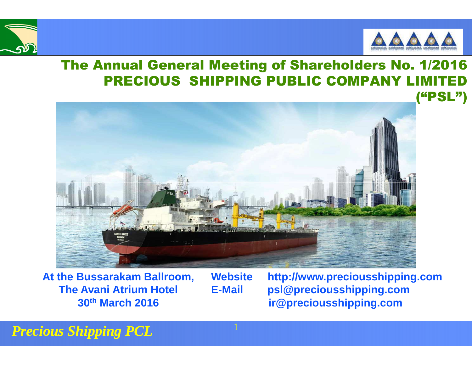



### The Annual General Meeting of Shareholders No. 1/2016PRECIOUS SHIPPING PUBLIC COMPANY LIMITED



**At the Bussarakam Ballroom, The Avani Atrium Hotel 30th March 2016**

**Website http://www.preciousshipping.comE-Mail psl@preciousshipping.comir@preciousshipping.com**

*Precious Shipping PCL*

1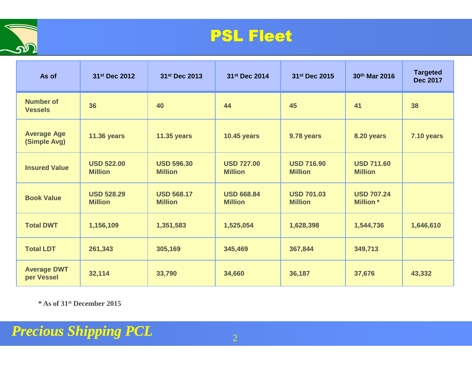

## PSL Fleet

| As of                              | 31 <sup>st</sup> Dec 2012           | 31 <sup>st</sup> Dec 2013           | 31 <sup>st</sup> Dec 2014           | 31 <sup>st</sup> Dec 2015           | 30th Mar 2016                         | <b>Targeted</b><br><b>Dec 2017</b> |
|------------------------------------|-------------------------------------|-------------------------------------|-------------------------------------|-------------------------------------|---------------------------------------|------------------------------------|
| <b>Number of</b><br><b>Vessels</b> | 36                                  | 40                                  | 44                                  | 45                                  | 41                                    | 38                                 |
| <b>Average Age</b><br>(Simple Avg) | <b>11.36 years</b>                  | <b>11.35 years</b>                  | <b>10.45 years</b>                  | 9.78 years                          | 8.20 years                            | <b>7.10 years</b>                  |
| <b>Insured Value</b>               | <b>USD 522.00</b><br><b>Million</b> | <b>USD 596.30</b><br><b>Million</b> | <b>USD 727.00</b><br><b>Million</b> | <b>USD 716.90</b><br><b>Million</b> | <b>USD 711.60</b><br><b>Million</b>   |                                    |
| <b>Book Value</b>                  | <b>USD 528.29</b><br><b>Million</b> | <b>USD 568.17</b><br><b>Million</b> | <b>USD 668.84</b><br><b>Million</b> | <b>USD 701.03</b><br><b>Million</b> | <b>USD 707.24</b><br><b>Million</b> * |                                    |
| <b>Total DWT</b>                   | 1,156,109                           | 1,351,583                           | 1,525,054                           | 1,628,398                           | 1,544,736                             | 1,646,610                          |
| <b>Total LDT</b>                   | 261,343                             | 305,169                             | 345,469                             | 367,844                             | 349,713                               |                                    |
| <b>Average DWT</b><br>per Vessel   | 32,114                              | 33,790                              | 34,660                              | 36,187                              | 37,676                                | 43,332                             |

**\* As of 31st December 2015**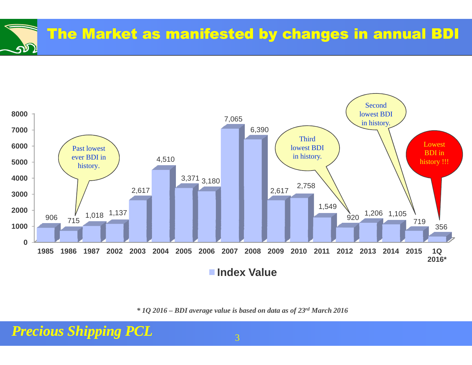



*\* 1Q 2016 – BDI average value is based on data as of 23rd March 2016*

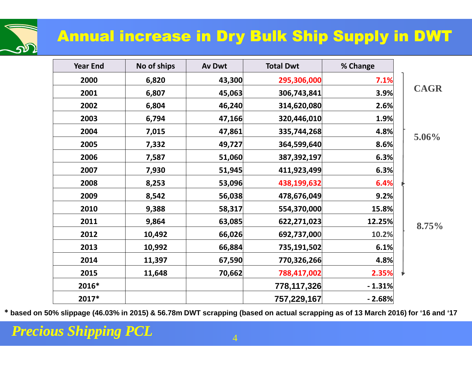# Annual increase in Dry Bulk Ship Supply in DWT

| <b>Year End</b> | No of ships | <b>Av Dwt</b> | <b>Total Dwt</b> | % Change |             |
|-----------------|-------------|---------------|------------------|----------|-------------|
| 2000            | 6,820       | 43,300        | 295,306,000      | 7.1%     |             |
| 2001            | 6,807       | 45,063        | 306,743,841      | 3.9%     | <b>CAGR</b> |
| 2002            | 6,804       | 46,240        | 314,620,080      | 2.6%     |             |
| 2003            | 6,794       | 47,166        | 320,446,010      | 1.9%     |             |
| 2004            | 7,015       | 47,861        | 335,744,268      | 4.8%     | $5.06\%$    |
| 2005            | 7,332       | 49,727        | 364,599,640      | 8.6%     |             |
| 2006            | 7,587       | 51,060        | 387,392,197      | 6.3%     |             |
| 2007            | 7,930       | 51,945        | 411,923,499      | 6.3%     |             |
| 2008            | 8,253       | 53,096        | 438,199,632      | 6.4%     |             |
| 2009            | 8,542       | 56,038        | 478,676,049      | 9.2%     |             |
| 2010            | 9,388       | 58,317        | 554,370,000      | 15.8%    |             |
| 2011            | 9,864       | 63,085        | 622,271,023      | 12.25%   | 8.75%       |
| 2012            | 10,492      | 66,026        | 692,737,000      | 10.2%    |             |
| 2013            | 10,992      | 66,884        | 735,191,502      | 6.1%     |             |
| 2014            | 11,397      | 67,590        | 770,326,266      | 4.8%     |             |
| 2015            | 11,648      | 70,662        | 788,417,002      | 2.35%    |             |
| 2016*           |             |               | 778,117,326      | $-1.31%$ |             |
| 2017*           |             |               | 757,229,167      | $-2.68%$ |             |

**\* based on 50% slippage (46.03% in 2015) & 56.78m DWT scrapping (based on actual scrapping as of 13 March 2016) for '16 and '17** 

תה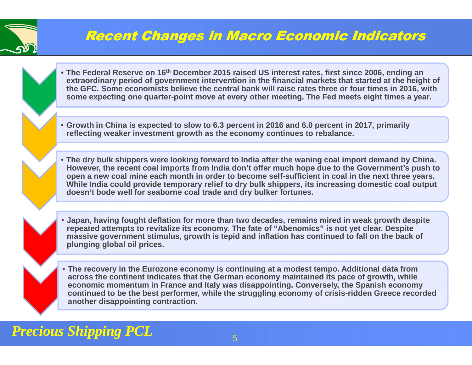

## Recent Changes in Macro Economic Indicators

- **The Federal Reserve on 16th December 2015 raised US interest rates, first since 2006, ending an extraordinary period of government intervention in the financial markets that started at the height of the GFC. Some economists believe the central bank will raise rates three or four times in 2016, with some expecting one quarter-point move at every other meeting. The Fed meets eight times a year.**
- **Growth in China is expected to slow to 6.3 percent in 2016 and 6.0 percent in 2017, primarily reflecting weaker investment growth as the economy continues to rebalance.**
- **The dry bulk shippers were looking forward to India after the waning coal import demand by China. However, the recent coal imports from India don't offer much hope due to the Government's push to open a new coal mine each month in order to become self-sufficient in coal in the next three years. While India could provide temporary relief to dry bulk shippers, its increasing domestic coal output doesn't bode well for seaborne coal trade and dry bulker fortunes.**
- **Japan, having fought deflation for more than two decades, remains mired in weak growth despite repeated attempts to revitalize its economy. The fate of "Abenomics" is not yet clear. Despite massive government stimulus, growth is tepid and inflation has continued to fall on the back of plunging global oil prices.**
- **The recovery in the Eurozone economy is continuing at a modest tempo. Additional data from across the continent indicates that the German economy maintained its pace of growth, while economic momentum in France and Italy was disappointing. Conversely, the Spanish economy continued to be the best performer, while the struggling economy of crisis-ridden Greece recorded another disappointing contraction.**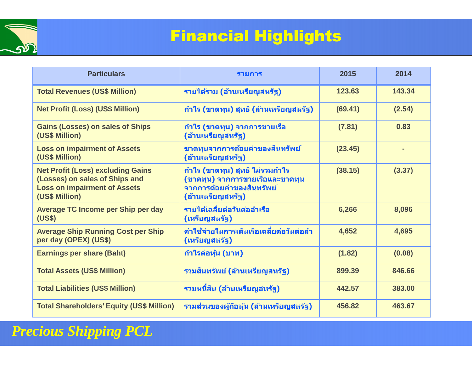

# Financial Highlights

| <b>Particulars</b>                                                                                                                  | รายการ                                                                                                               | 2015    | 2014   |
|-------------------------------------------------------------------------------------------------------------------------------------|----------------------------------------------------------------------------------------------------------------------|---------|--------|
| <b>Total Revenues (US\$ Million)</b>                                                                                                | รายได้รวม (ล้านเหรียญสหรัฐ)                                                                                          | 123.63  | 143.34 |
| <b>Net Profit (Loss) (US\$ Million)</b>                                                                                             | ี กำไร (ขาดทุน) สุทธิ (ล้านเหรียญสหรัฐ)                                                                              | (69.41) | (2.54) |
| <b>Gains (Losses) on sales of Ships</b><br>(US\$ Million)                                                                           | ้กำไร (ขาดทุน) จากการขายเรือ<br>(ล้านเหรียญสหรัฐ)                                                                    | (7.81)  | 0.83   |
| <b>Loss on impairment of Assets</b><br>(US\$ Million)                                                                               | ขาดทุนจากการด้อยค่าของสินทรัพย์<br>(ล้านเหรียญสหรัฐ)                                                                 | (23.45) |        |
| <b>Net Profit (Loss) excluding Gains</b><br>(Losses) on sales of Ships and<br><b>Loss on impairment of Assets</b><br>(US\$ Million) | ้กำไร (ขาดทุน) สุทธิ ไม่รวมกำไร<br>(ขาดทุน) จากการขายเรือและขาดทุน<br>จากการด้อยค่าของสินทรัพย์<br>(ล้านเหรียญสหรัฐ) | (38.15) | (3.37) |
| <b>Average TC Income per Ship per day</b><br>(US\$)                                                                                 | รายได้เฉลี่ยต่อวันต่อลำเรือ<br>(เหรียญสหรัฐ)                                                                         | 6,266   | 8,096  |
| <b>Average Ship Running Cost per Ship</b><br>per day (OPEX) (US\$)                                                                  | ี่ค่าใช้จ่ายในการเดินเรือเฉลี่ยต่อวันต่อลำ<br>(เหรียญสหรัฐ)                                                          | 4,652   | 4,695  |
| <b>Earnings per share (Baht)</b>                                                                                                    | ี กำไรต่อหุ้น (บาท)                                                                                                  | (1.82)  | (0.08) |
| <b>Total Assets (US\$ Million)</b>                                                                                                  | รวมสินทรัพย์ (ล้านเหรียญสหรัฐ)                                                                                       | 899.39  | 846.66 |
| <b>Total Liabilities (US\$ Million)</b>                                                                                             | รวมหนี้สิน (ล้านเหรียญสหรัฐ)                                                                                         | 442.57  | 383.00 |
| <b>Total Shareholders' Equity (US\$ Million)</b>                                                                                    | ี รวมส่วนของผู้ถือหุ้น (ล้านเหรียญสหรัฐ)                                                                             | 456.82  | 463.67 |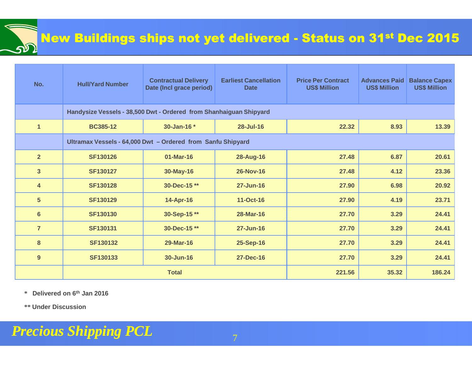

| No.                     | <b>Hull/Yard Number</b>                                            | <b>Contractual Delivery</b><br>Date (Incl grace period) | <b>Earliest Cancellation</b><br><b>Date</b> | <b>Price Per Contract</b><br><b>US\$ Million</b> | <b>Advances Paid</b><br><b>US\$ Million</b> | <b>Balance Capex</b><br><b>US\$ Million</b> |
|-------------------------|--------------------------------------------------------------------|---------------------------------------------------------|---------------------------------------------|--------------------------------------------------|---------------------------------------------|---------------------------------------------|
|                         | Handysize Vessels - 38,500 Dwt - Ordered from Shanhaiguan Shipyard |                                                         |                                             |                                                  |                                             |                                             |
| $\mathbf{1}$            | <b>BC385-12</b>                                                    | 30-Jan-16 *                                             | 28-Jul-16                                   | 22.32                                            | 8.93                                        | 13.39                                       |
|                         | Ultramax Vessels - 64,000 Dwt - Ordered from Sanfu Shipyard        |                                                         |                                             |                                                  |                                             |                                             |
| $\overline{2}$          | <b>SF130126</b>                                                    | 01-Mar-16                                               | <b>28-Aug-16</b>                            | 27.48                                            | 6.87                                        | 20.61                                       |
| $\overline{\mathbf{3}}$ | <b>SF130127</b>                                                    | 30-May-16                                               | <b>26-Nov-16</b>                            | 27.48                                            | 4.12                                        | 23.36                                       |
| $\overline{\mathbf{4}}$ | <b>SF130128</b>                                                    | 30-Dec-15**                                             | 27-Jun-16                                   | 27.90                                            | 6.98                                        | 20.92                                       |
| $5\phantom{1}$          | <b>SF130129</b>                                                    | 14-Apr-16                                               | 11-Oct-16                                   | 27.90                                            | 4.19                                        | 23.71                                       |
| $6\phantom{a}$          | <b>SF130130</b>                                                    | 30-Sep-15**                                             | <b>28-Mar-16</b>                            | 27.70                                            | 3.29                                        | 24.41                                       |
| $\overline{7}$          | <b>SF130131</b>                                                    | 30-Dec-15**                                             | 27-Jun-16                                   | 27.70                                            | 3.29                                        | 24.41                                       |
| 8                       | <b>SF130132</b>                                                    | 29-Mar-16                                               | 25-Sep-16                                   | 27.70                                            | 3.29                                        | 24.41                                       |
| 9                       | SF130133                                                           | 30-Jun-16                                               | <b>27-Dec-16</b>                            | 27.70                                            | 3.29                                        | 24.41                                       |
|                         |                                                                    | <b>Total</b>                                            | 221.56                                      | 35.32                                            | 186.24                                      |                                             |

**\* Delivered on 6th Jan 2016** 

**\*\* Under Discussion**

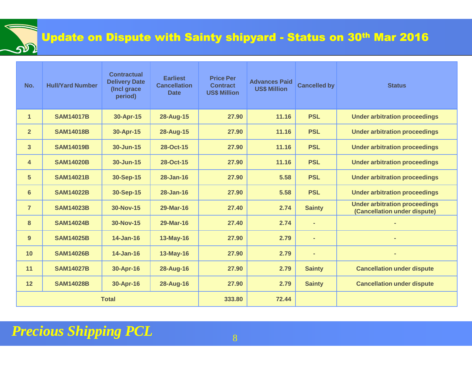### Update on Dispute with Sainty shipyard - Status on 30th Mar 2016

| No.            | <b>Hull/Yard Number</b> | <b>Contractual</b><br><b>Delivery Date</b><br>(Incl grace<br>period) | <b>Earliest</b><br><b>Cancellation</b><br><b>Date</b> | <b>Price Per</b><br><b>Contract</b><br><b>US\$ Million</b> | <b>Advances Paid</b><br><b>US\$ Million</b> | <b>Cancelled by</b> | <b>Status</b>                                                        |
|----------------|-------------------------|----------------------------------------------------------------------|-------------------------------------------------------|------------------------------------------------------------|---------------------------------------------|---------------------|----------------------------------------------------------------------|
| $\mathbf{1}$   | <b>SAM14017B</b>        | 30-Apr-15                                                            | <b>28-Aug-15</b>                                      | 27.90                                                      | 11.16                                       | <b>PSL</b>          | <b>Under arbitration proceedings</b>                                 |
| 2 <sup>2</sup> | <b>SAM14018B</b>        | 30-Apr-15                                                            | 28-Aug-15                                             | 27.90                                                      | 11.16                                       | <b>PSL</b>          | <b>Under arbitration proceedings</b>                                 |
| $\overline{3}$ | <b>SAM14019B</b>        | 30-Jun-15                                                            | 28-Oct-15                                             | 27.90                                                      | 11.16                                       | <b>PSL</b>          | <b>Under arbitration proceedings</b>                                 |
| 4              | <b>SAM14020B</b>        | 30-Jun-15                                                            | 28-Oct-15                                             | 27.90                                                      | 11.16                                       | <b>PSL</b>          | <b>Under arbitration proceedings</b>                                 |
| 5 <sup>5</sup> | <b>SAM14021B</b>        | 30-Sep-15                                                            | 28-Jan-16                                             | 27.90                                                      | 5.58                                        | <b>PSL</b>          | <b>Under arbitration proceedings</b>                                 |
| 6              | <b>SAM14022B</b>        | 30-Sep-15                                                            | <b>28-Jan-16</b>                                      | 27.90                                                      | 5.58                                        | <b>PSL</b>          | <b>Under arbitration proceedings</b>                                 |
| $\overline{7}$ | <b>SAM14023B</b>        | 30-Nov-15                                                            | 29-Mar-16                                             | 27.40                                                      | 2.74                                        | <b>Sainty</b>       | <b>Under arbitration proceedings</b><br>(Cancellation under dispute) |
| 8              | <b>SAM14024B</b>        | 30-Nov-15                                                            | 29-Mar-16                                             | 27.40                                                      | 2.74                                        | $\blacksquare$      |                                                                      |
| 9              | <b>SAM14025B</b>        | <b>14-Jan-16</b>                                                     | 13-May-16                                             | 27.90                                                      | 2.79                                        | $\blacksquare$      |                                                                      |
| 10             | <b>SAM14026B</b>        | <b>14-Jan-16</b>                                                     | <b>13-May-16</b>                                      | 27.90                                                      | 2.79                                        | ٠                   |                                                                      |
| 11             | <b>SAM14027B</b>        | 30-Apr-16                                                            | <b>28-Aug-16</b>                                      | 27.90                                                      | 2.79                                        | <b>Sainty</b>       | <b>Cancellation under dispute</b>                                    |
| 12             | <b>SAM14028B</b>        | 30-Apr-16                                                            | <b>28-Aug-16</b>                                      | 27.90                                                      | 2.79                                        | <b>Sainty</b>       | <b>Cancellation under dispute</b>                                    |
| <b>Total</b>   |                         |                                                                      | 333.80                                                | 72.44                                                      |                                             |                     |                                                                      |

#### *Precious Shipping PCL*<u>8</u> Berlin and State 198

<u> သာ</u>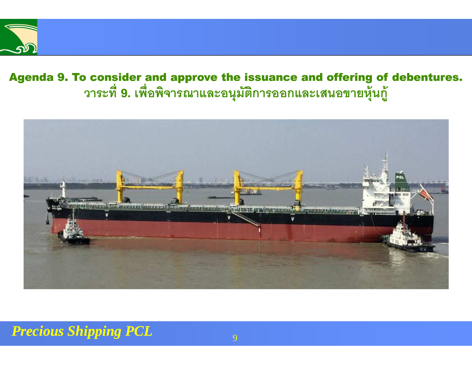

## Agenda 9. To consider and approve the issuance and offering of debentures. วาระที่ 9. เพื่อพิจารณาและอนุมัติการออกและเสนอขายหุ้นกู้

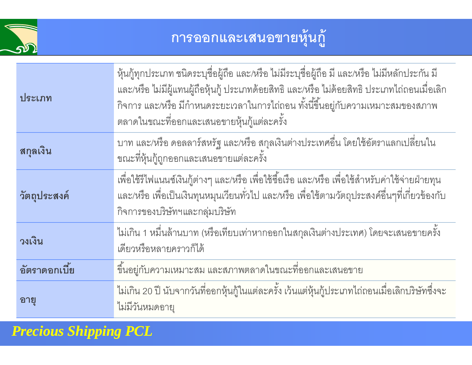

# **การออกและเสนอขายหุ้นกู้**

| ประเภท        | ้หุ้นกู้ทุกประเภท ชนิดระบุชื่อผู้ถือ และ/หรือ ไม่มีระบุชื่อผู้ถือ มี และ/หรือ ไม่มีหลักประกัน มี<br>และ/หรือ ไม่มีผู้แทนผู้ถือหุ้นกู้ ประเภทด้อยสิทธิ และ/หรือ ไม่ด้อยสิทธิ ประเภทไถ่ถอนเมื่อเลิก<br>้กิจการ และ/หรือ มีกำหนดระยะเวลาในการไถ่ถอน ทั้งนี้ขึ้นอยู่กับความเหมาะสมของสภาพ<br>์ ตลาดในขณะที่ออกและเสนอขายหุ้นกู้แต่ละครั้ง |
|---------------|---------------------------------------------------------------------------------------------------------------------------------------------------------------------------------------------------------------------------------------------------------------------------------------------------------------------------------------|
| สกุลเงิน      | ้บาท และ/หรือ ดอลลาร์สหรัฐ และ/หรือ สกุลเงินต่างประเทศอื่น โดยใช้อัตราแลกเปลี่ยนใน<br>ขณะที่หุ้นกู้ถูกออกและเสนอขายแต่ละครั้ง                                                                                                                                                                                                         |
| วัตถุประสงค์  | เพื่อใช้รีไฟแนนซ์เงินกู้ต่างๆ และ/หรือ เพื่อใช้ซื้อเรือ และ/หรือ เพื่อใช้สำหรับค่าใช้จ่ายฝ่ายทุน<br>และ/หรือ เพื่อเป็นเงินทุนหมุนเวียนทั่วไป และ/หรือ เพื่อใช้ตามวัตถุประสงค์อื่นๆที่เกี่ยวข้องกับ<br>กิจการของบริษัทฯและกลุ่มบริษัท                                                                                                  |
| วงเงิน        | ไม่เกิน 1 หมื่นล้านบาท (หรือเทียบเท่าหากออกในสกุลเงินต่างประเทศ) โดยจะเสนอขายครั้ง<br>เดียวหรือหลายคราวก็ได้                                                                                                                                                                                                                          |
| อัตราดอกเบี้ย | ์ ขึ้นอยู่กับความเหมาะสม และสภาพตลาดในขณะที่ออกและเสนอขาย                                                                                                                                                                                                                                                                             |
| อายุ          | ไม่เกิน 20 ปี นับจากวันที่ออกหุ้นกู้ในแต่ละครั้ง เว้นแต่หุ้นกู้ประเภทไถ่ถอนเมื่อเลิกบริษัทซึ่งจะ<br>ไม่มีวันหมดอายุ                                                                                                                                                                                                                   |

*Precious Shipping PCL*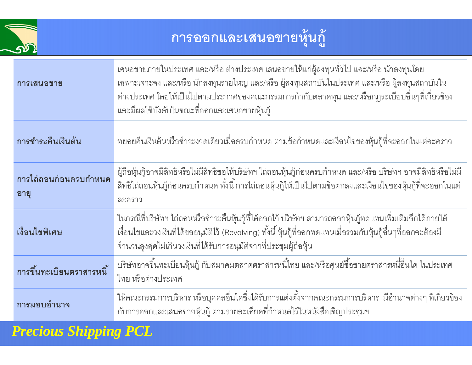

# **การออกและเสนอขายหุ้นกู้**

| การเสนอขาย                    | ้ เสนอขายภายในประเทศ และ/หรือ ต่างประเทศ เสนอขายให้แก่ผู้ลงทุนทั่วไป และ/หรือ นักลงทุนโดย<br>เฉพาะเจาะจง และ/หรือ นักลงทุนรายใหญ่ และ/หรือ ผู้ลงทุนสถาบันในประเทศ และ/หรือ ผู้ลงทุนสถาบันใน<br>้ต่างประเทศ โดยให้เป็นไปตามประกาศของคณะกรรมการกำกับตลาดทุน และ/หรือกฎระเบียบอื่นๆที่เกี่ยวข้อง<br>และมีผลใช้บังคับในขณะที่ออกและเสนอขายหุ้นกู้ |
|-------------------------------|-----------------------------------------------------------------------------------------------------------------------------------------------------------------------------------------------------------------------------------------------------------------------------------------------------------------------------------------------|
| การชำระคืนเงินต้น             | ้ทยอยคืนเงินต้นหรือชำระงวดเดียวเมื่อครบกำหนด ตามข้อกำหนดและเงื่อนไขของหุ้นกู้ที่จะออกในแต่ละคราว                                                                                                                                                                                                                                              |
| การไถ่ถอนก่อนครบกำหนด<br>อายุ | ้ผู้ถือหุ้นกู้อาจมีสิทธิหรือไม่มีสิทธิขอให้บริษัทฯ ไถ่ถอนหุ้นกู้ก่อนครบกำหนด และ/หรือ บริษัทฯ อาจมีสิทธิหรือไม่มี<br>่ สิทธิไถ่ถอนหุ้นกู้ก่อนครบกำหนด ทั้งนี้ การไถ่ถอนหุ้นกู้ให้เป็นไปตามข้อตกลงและเงื่อนไขของหุ้นกู้ที่จะออกในแต่<br>ละคราว                                                                                                 |
| เงื่อนไขพิเศษ                 | ในกรณีที่บริษัทฯ ไถ่ถอนหรือชำระคืนหุ้นกู้ที่ได้ออกไว้ บริษัทฯ สามารถออกหุ้นกู้ทดแทนเพิ่มเติมอีกได้ภายใต้<br>เงื่อนไขและวงเงินที่ได้ขออนุมัติไว้ (Revolving) ทั้งนี้ หุ้นกู้ที่ออกทดแทนเมื่อรวมกับหุ้นกู้อื่นๆที่ออกจะต้องมี<br>จำนวนสูงสุดไม่เกินวงเงินที่ได้รับการอนุมัติจากที่ประชุมผู้ถือหุ้น                                              |
| การขึ้นทะเบียนตราสารหนี้      | ้บริษัทอาจขึ้นทะเบียนหุ้นกู้ กับสมาคมตลาดตราสารหนี้ไทย และ/หรือศูนย์ซื้อขายตราสารหนี้อื่นใด ในประเทศ<br>ไทย หรือต่างประเทศ                                                                                                                                                                                                                    |
| การมอบอำนาจ                   | ให้คณะกรรมการบริหาร หรือบุคคลอื่นใดซึ่งได้รับการแต่งตั้งจากคณะกรรมการบริหาร  มีอำนาจต่างๆ ที่เกี่ยวข้อง<br>้กับการออกและเสนอขายหุ้นกู้ ตามรายละเอียดที่กำหนดไว้ในหนังสือเชิญประชุมฯ                                                                                                                                                           |

*Precious Shipping PCL*